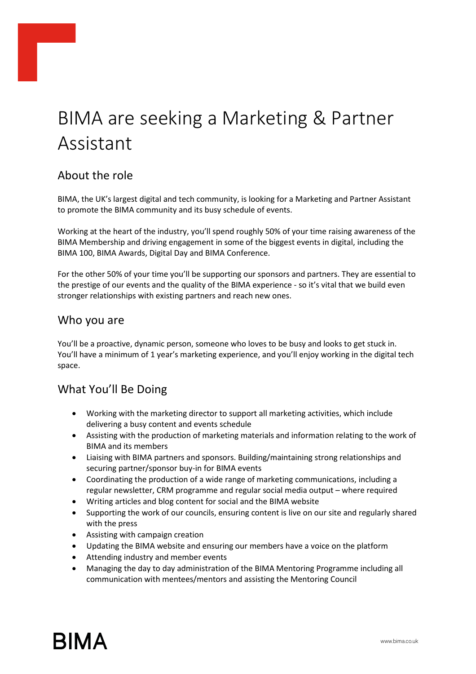# BIMA are seeking a Marketing & Partner Assistant

### About the role

BIMA, the UK's largest digital and tech community, is looking for a Marketing and Partner Assistant to promote the BIMA community and its busy schedule of events.

Working at the heart of the industry, you'll spend roughly 50% of your time raising awareness of the BIMA Membership and driving engagement in some of the biggest events in digital, including the BIMA 100, BIMA Awards, Digital Day and BIMA Conference.

For the other 50% of your time you'll be supporting our sponsors and partners. They are essential to the prestige of our events and the quality of the BIMA experience - so it's vital that we build even stronger relationships with existing partners and reach new ones.

#### Who you are

You'll be a proactive, dynamic person, someone who loves to be busy and looks to get stuck in. You'll have a minimum of 1 year's marketing experience, and you'll enjoy working in the digital tech space.

#### What You'll Be Doing

- Working with the marketing director to support all marketing activities, which include delivering a busy content and events schedule
- Assisting with the production of marketing materials and information relating to the work of BIMA and its members
- Liaising with BIMA partners and sponsors. Building/maintaining strong relationships and securing partner/sponsor buy-in for BIMA events
- Coordinating the production of a wide range of marketing communications, including a regular newsletter, CRM programme and regular social media output – where required
- Writing articles and blog content for social and the BIMA website
- Supporting the work of our councils, ensuring content is live on our site and regularly shared with the press
- Assisting with campaign creation
- Updating the BIMA website and ensuring our members have a voice on the platform
- Attending industry and member events
- Managing the day to day administration of the BIMA Mentoring Programme including all communication with mentees/mentors and assisting the Mentoring Council